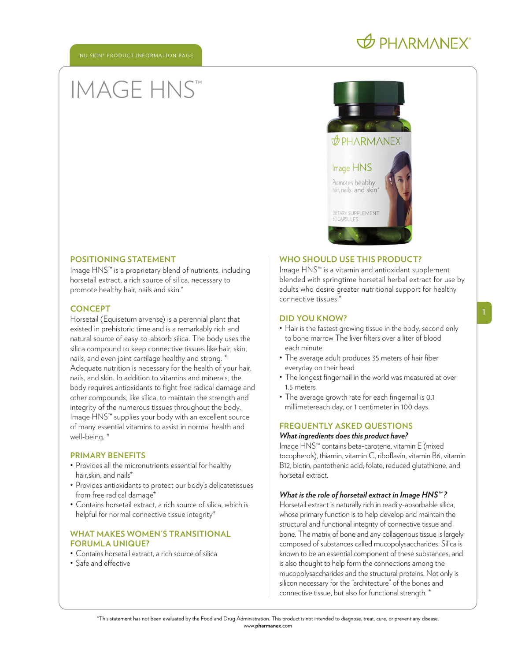# **O PHARMANEX**

# IMAGE HNS™



#### **POSITIONING STATEMENT**

Image HNS™ is a proprietary blend of nutrients, including horsetail extract, a rich source of silica, necessary to promote healthy hair, nails and skin.\*

#### **CONCEPT**

Horsetail (Equisetum arvense) is a perennial plant that existed in prehistoric time and is a remarkably rich and natural source of easy-to-absorb silica. The body uses the silica compound to keep connective tissues like hair, skin, nails, and even joint cartilage healthy and strong. \* Adequate nutrition is necessary for the health of your hair, nails, and skin. In addition to vitamins and minerals, the body requires antioxidants to fight free radical damage and other compounds, like silica, to maintain the strength and integrity of the numerous tissues throughout the body. Image HNS™ supplies your body with an excellent source of many essential vitamins to assist in normal health and well-being. \*

#### **PRIMARY BENEFITS**

- Provides all the micronutrients essential for healthy hair,skin, and nails\*
- Provides antioxidants to protect our body's delicatetissues from free radical damage\*
- Contains horsetail extract, a rich source of silica, which is helpful for normal connective tissue integrity<sup>\*</sup>

# **WHAT MAKES WOMEN'S TRANSITIONAL FORUMLA UNIQUE?**

- Contains horsetail extract, a rich source of silica
- Safe and effective

# **WHO SHOULD USE THIS PRODUCT?**

Image HNS™ is a vitamin and antioxidant supplement blended with springtime horsetail herbal extract for use by adults who desire greater nutritional support for healthy connective tissues.\*

#### **DID YOU KNOW?**

- Hair is the fastest growing tissue in the body, second only to bone marrow The liver filters over a liter of blood each minute
- The average adult produces 35 meters of hair fiber everyday on their head
- The longest fingernail in the world was measured at over 1.5 meters
- The average growth rate for each fingernail is 0.1 millimetereach day, or 1 centimeter in 100 days.

# **FREQUENTLY ASKED QUESTIONS**

# *What ingredients does this product have?*

Image HNS™ contains beta-carotene, vitamin E (mixed tocopherols), thiamin, vitamin C, riboflavin, vitamin B6, vitamin B12, biotin, pantothenic acid, folate, reduced glutathione, and horsetail extract.

#### *What is the role of horsetail extract in Image HNS™ ?*

Horsetail extract is naturally rich in readily-absorbable silica, whose primary function is to help develop and maintain the structural and functional integrity of connective tissue and bone. The matrix of bone and any collagenous tissue is largely composed of substances called mucopolysaccharides. Silica is known to be an essential component of these substances, and is also thought to help form the connections among the mucopolysaccharides and the structural proteins. Not only is silicon necessary for the "architecture" of the bones and connective tissue, but also for functional strength. \*